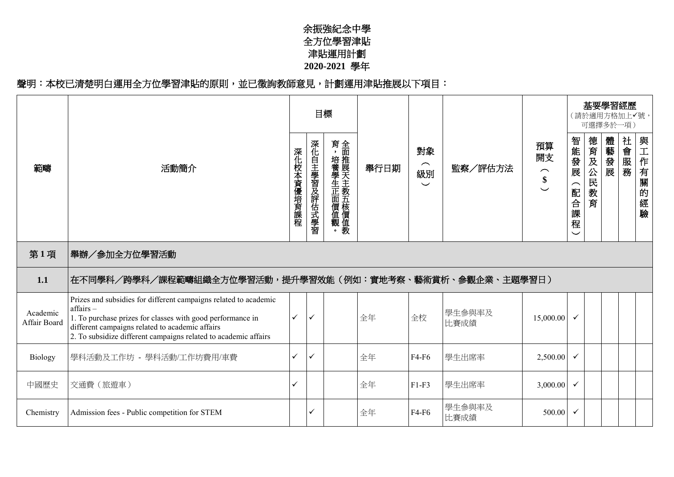## 余振強紀念中學 全方位學習津貼 津貼運用計劃 **2020-2021** 學年

## 聲明:本校已清楚明白運用全方位學習津貼的原則,並已徵詢教師意見,計劃運用津貼推展以下項目:

|                          |                                                                                                                                                                                                                                                                  |            |              | 目標                       |      |                                  |                |                                                                 |                                   | 基要學習經歷<br>(請於適用方格加上✔號,<br>可選擇多於一項) |      |      |                  |
|--------------------------|------------------------------------------------------------------------------------------------------------------------------------------------------------------------------------------------------------------------------------------------------------------|------------|--------------|--------------------------|------|----------------------------------|----------------|-----------------------------------------------------------------|-----------------------------------|------------------------------------|------|------|------------------|
| 範疇                       | 活動簡介                                                                                                                                                                                                                                                             | 深化校本資優培育課程 | 深化自主學習及評估式學習 | 育,培養學生正面價值觀。全面推展天主教五核價值教 | 舉行日期 | 對象<br>$\frown$<br>級別<br>$\smile$ | 監察/評估方法        | 預算<br>開支<br>$\overline{\phantom{1}}$<br>$\frac{\$}{\checkmark}$ | 智能發展<br>(配合課<br>程<br>$\checkmark$ | 德育及公民<br>教育                        | 體藝發展 | 社會服務 | 與工作有關<br>的<br>經驗 |
| 第1項                      | 舉辦/參加全方位學習活動                                                                                                                                                                                                                                                     |            |              |                          |      |                                  |                |                                                                 |                                   |                                    |      |      |                  |
| 1.1                      | 在不同學科/跨學科/課程範疇組織全方位學習活動,提升學習效能(例如:實地考察、藝術賞析、參觀企業、主題學習日)                                                                                                                                                                                                          |            |              |                          |      |                                  |                |                                                                 |                                   |                                    |      |      |                  |
| Academic<br>Affair Board | Prizes and subsidies for different campaigns related to academic<br>affairs-<br>1. To purchase prizes for classes with good performance in<br>different campaigns related to academic affairs<br>2. To subsidize different campaigns related to academic affairs | ✓          | ✓            |                          | 全年   | 全校                               | 學生參與率及<br>比賽成績 | 15,000.00                                                       |                                   |                                    |      |      |                  |
| Biology                  | 學科活動及工作坊 - 學科活動/工作坊費用/車費                                                                                                                                                                                                                                         | ✓          | ✓            |                          | 全年   | F4-F6                            | 學生出席率          | 2,500.00                                                        | $\checkmark$                      |                                    |      |      |                  |
| 中國歷史                     | 交通費 (旅遊車)                                                                                                                                                                                                                                                        | ✓          |              |                          | 全年   | $F1-F3$                          | 學生出席率          | 3,000.00                                                        |                                   |                                    |      |      |                  |
| Chemistry                | Admission fees - Public competition for STEM                                                                                                                                                                                                                     |            | ✓            |                          | 全年   | F4-F6                            | 學生參與率及<br>比賽成績 | 500.00                                                          |                                   |                                    |      |      |                  |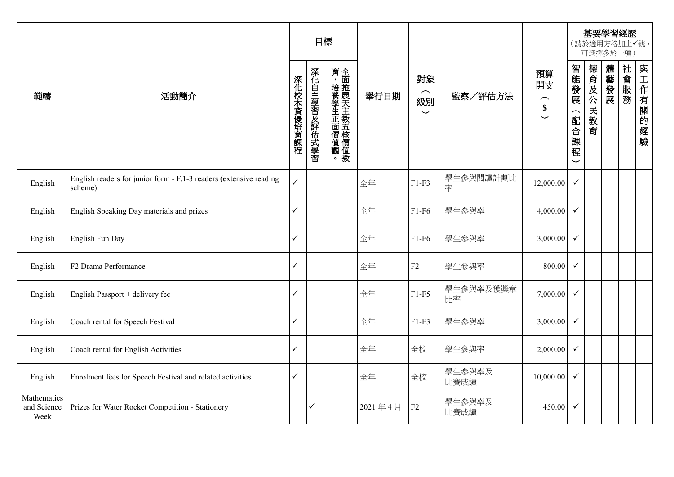|                                    |                                                                               |            | 目標           |              |         |                                                     |                 |                                                                                 |                                   |                 | 可選擇多於一項) | 基要學習經歷<br>(請於適用方格加上√號, |          |
|------------------------------------|-------------------------------------------------------------------------------|------------|--------------|--------------|---------|-----------------------------------------------------|-----------------|---------------------------------------------------------------------------------|-----------------------------------|-----------------|----------|------------------------|----------|
| 範疇                                 | 活動簡介                                                                          | 深化校本資優培育課程 | 深化自主學習及評估式學習 | 育,培養學生正面價值觀。 | 舉行日期    | 對象<br>$\widehat{\phantom{m}}$<br>級別<br>$\checkmark$ | 監察/評估方法         | 預算<br>開支<br>$\widehat{\phantom{1}}$<br>$\boldsymbol{\$}$<br>$\overline{\smile}$ | 智能發展<br>(配合課<br>程<br>$\checkmark$ | 德育及公民<br>教<br>育 | 體藝發展     | 社會服務                   | 與工作有關的經驗 |
| English                            | English readers for junior form - F.1-3 readers (extensive reading<br>scheme) | ✓          |              |              | 全年      | $F1-F3$                                             | 學生參與閱讀計劃比<br>率  | 12,000.00                                                                       | $\checkmark$                      |                 |          |                        |          |
| English                            | English Speaking Day materials and prizes                                     | ✓          |              |              | 全年      | $F1-F6$                                             | 學生參與率           | 4,000.00                                                                        | $\checkmark$                      |                 |          |                        |          |
| English                            | English Fun Day                                                               | ✓          |              |              | 全年      | $F1-F6$                                             | 學生參與率           | 3,000.00                                                                        | $\checkmark$                      |                 |          |                        |          |
| English                            | F2 Drama Performance                                                          | ✓          |              |              | 全年      | F2                                                  | 學生參與率           | 800.00                                                                          | $\checkmark$                      |                 |          |                        |          |
| English                            | English Passport + delivery fee                                               | ✓          |              |              | 全年      | $F1-F5$                                             | 學生參與率及獲獎章<br>比率 | 7,000.00                                                                        | $\checkmark$                      |                 |          |                        |          |
| English                            | Coach rental for Speech Festival                                              | ✓          |              |              | 全年      | $F1-F3$                                             | 學生參與率           | 3,000.00                                                                        | $\checkmark$                      |                 |          |                        |          |
| English                            | Coach rental for English Activities                                           | ✓          |              |              | 全年      | 全校                                                  | 學生參與率           | 2,000.00                                                                        | $\checkmark$                      |                 |          |                        |          |
| English                            | Enrolment fees for Speech Festival and related activities                     | ✓          |              |              | 全年      | 全校                                                  | 學生參與率及<br>比賽成績  | 10,000.00                                                                       | $\checkmark$                      |                 |          |                        |          |
| Mathematics<br>and Science<br>Week | Prizes for Water Rocket Competition - Stationery                              |            | ✓            |              | 2021年4月 | ${\rm F2}$                                          | 學生參與率及<br>比賽成績  | 450.00                                                                          | $\checkmark$                      |                 |          |                        |          |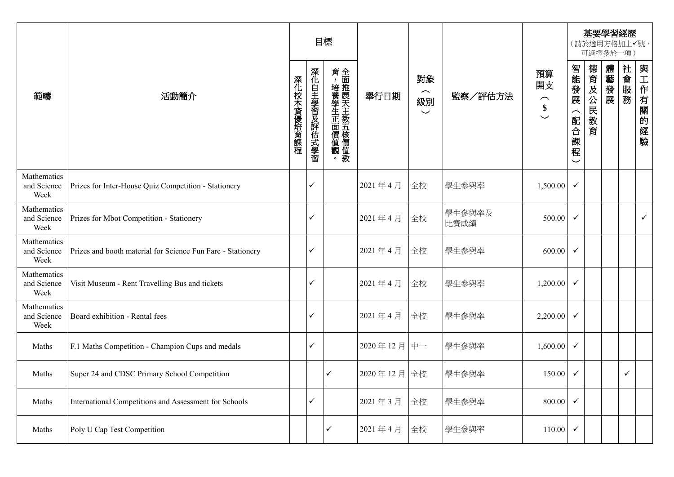|                                    |                                                             |            | 目標           |              |            |                                  |                |                                                                  |                               |         | 基要學習經歷<br>(請於適用方格加上√號,<br>可選擇多於一項) |      |              |
|------------------------------------|-------------------------------------------------------------|------------|--------------|--------------|------------|----------------------------------|----------------|------------------------------------------------------------------|-------------------------------|---------|------------------------------------|------|--------------|
| 範疇                                 | 活動簡介                                                        | 深化校本資優培育課程 | 深化自主學習及評估式學習 | 育,培養學生正面價值觀。 | 舉行日期       | 對象<br>$\frown$<br>級別<br>$\smile$ | 監察/評估方法        | 預算<br>開支<br>$\left( \begin{array}{c} 1 \\ 1 \end{array} \right)$ | 智能發展<br>(配合課程<br>$\checkmark$ | 德育及公民教育 | 體藝發展                               | 社會服務 | 與工作有關的<br>經驗 |
| Mathematics<br>and Science<br>Week | Prizes for Inter-House Quiz Competition - Stationery        |            | ✓            |              | 2021年4月    | 全校                               | 學生參與率          | 1,500.00                                                         | $\checkmark$                  |         |                                    |      |              |
| Mathematics<br>and Science<br>Week | Prizes for Mbot Competition - Stationery                    |            | ✓            |              | 2021年4月    | 全校                               | 學生參與率及<br>比賽成績 | 500.00                                                           | $\checkmark$                  |         |                                    |      | ✓            |
| Mathematics<br>and Science<br>Week | Prizes and booth material for Science Fun Fare - Stationery |            | ✓            |              | 2021年4月    | 全校                               | 學生參與率          | 600.00                                                           | $\checkmark$                  |         |                                    |      |              |
| Mathematics<br>and Science<br>Week | Visit Museum - Rent Travelling Bus and tickets              |            | ✓            |              | 2021年4月    | 全校                               | 學生參與率          | 1,200.00                                                         | $\checkmark$                  |         |                                    |      |              |
| Mathematics<br>and Science<br>Week | Board exhibition - Rental fees                              |            | ✓            |              | 2021年4月    | 全校                               | 學生參與率          | 2,200.00                                                         | ✓                             |         |                                    |      |              |
| Maths                              | F.1 Maths Competition - Champion Cups and medals            |            | ✓            |              | 2020年12月   | 中一                               | 學生參與率          | 1,600.00                                                         | $\checkmark$                  |         |                                    |      |              |
| Maths                              | Super 24 and CDSC Primary School Competition                |            |              | ✓            | 2020年12月全校 |                                  | 學生參與率          | 150.00                                                           | ✓                             |         |                                    | ✓    |              |
| Maths                              | International Competitions and Assessment for Schools       |            | ✓            |              | 2021年3月    | 全校                               | 學生參與率          | 800.00                                                           | $\checkmark$                  |         |                                    |      |              |
| Maths                              | Poly U Cap Test Competition                                 |            |              | ✓            | 2021年4月    | 全校                               | 學生參與率          | 110.00                                                           | $\checkmark$                  |         |                                    |      |              |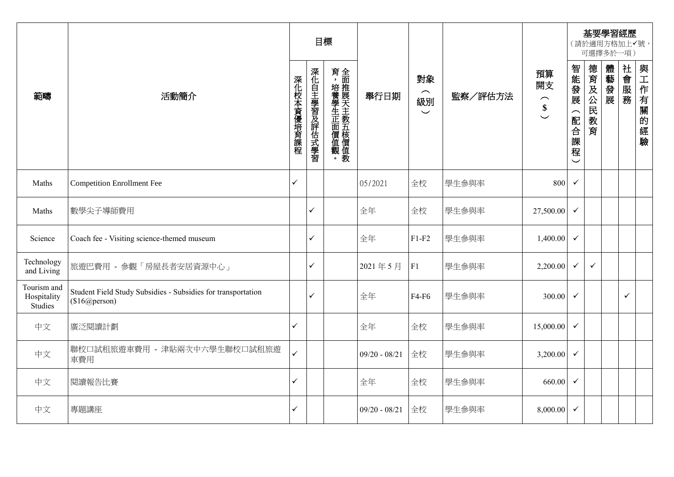|                                       |                                                                               |            |              | 目標                       |                 |                                                     |         |                                                                          |                               |                 | 可選擇多於一項) | 基要學習經歷<br>(請於適用方格加上√號, |                      |
|---------------------------------------|-------------------------------------------------------------------------------|------------|--------------|--------------------------|-----------------|-----------------------------------------------------|---------|--------------------------------------------------------------------------|-------------------------------|-----------------|----------|------------------------|----------------------|
| 範疇                                    | 活動簡介                                                                          | 深化校本資優培育課程 | 深化自主學習及評估式學習 | 育,培養學生正面價值觀。全面推展天主教五核價值教 | 舉行日期            | 對象<br>$\widehat{\phantom{1}}$<br>級別<br>$\checkmark$ | 監察/評估方法 | 預算<br>開支<br>$\widehat{\phantom{m}}$<br>$\boldsymbol{\$}$<br>$\checkmark$ | 智能發展<br>(配合課程<br>$\checkmark$ | 德育及公民<br>教<br>育 | 體藝發展     | 社會服務                   | 與工作有<br>關<br>的<br>經驗 |
| Maths                                 | <b>Competition Enrollment Fee</b>                                             | ✓          |              |                          | 05/2021         | 全校                                                  | 學生參與率   | 800                                                                      | $\checkmark$                  |                 |          |                        |                      |
| Maths                                 | 數學尖子導師費用                                                                      |            | ✓            |                          | 全年              | 全校                                                  | 學生參與率   | 27,500.00                                                                | $\checkmark$                  |                 |          |                        |                      |
| Science                               | Coach fee - Visiting science-themed museum                                    |            | ✓            |                          | 全年              | $F1-F2$                                             | 學生參與率   | 1,400.00                                                                 | $\checkmark$                  |                 |          |                        |                      |
| Technology<br>and Living              | 旅遊巴費用 - 參觀「房屋長者安居資源中心」                                                        |            | ✓            |                          | 2021年5月         | F1                                                  | 學生參與率   | 2,200.00                                                                 | $\checkmark$                  | $\checkmark$    |          |                        |                      |
| Tourism and<br>Hospitality<br>Studies | Student Field Study Subsidies - Subsidies for transportation<br>(\$16@person) |            | ✓            |                          | 全年              | F4-F6                                               | 學生參與率   | 300.00                                                                   | $\checkmark$                  |                 |          | $\checkmark$           |                      |
| 中文                                    | 廣泛閱讀計劃                                                                        | ✓          |              |                          | 全年              | 全校                                                  | 學生參與率   | 15,000.00                                                                | $\checkmark$                  |                 |          |                        |                      |
| 中文                                    | 聯校口試租旅遊車費用 - 津貼兩次中六學生聯校口試租旅遊<br>車費用                                           | ✓          |              |                          | $09/20 - 08/21$ | 全校                                                  | 學生參與率   | 3,200.00                                                                 | $\checkmark$                  |                 |          |                        |                      |
| 中文                                    | 閱讀報告比賽                                                                        | ✓          |              |                          | 全年              | 全校                                                  | 學生參與率   | 660.00                                                                   | $\checkmark$                  |                 |          |                        |                      |
| 中文                                    | 專題講座                                                                          | ✓          |              |                          | $09/20 - 08/21$ | 全校                                                  | 學生參與率   | 8,000.00                                                                 | $\checkmark$                  |                 |          |                        |                      |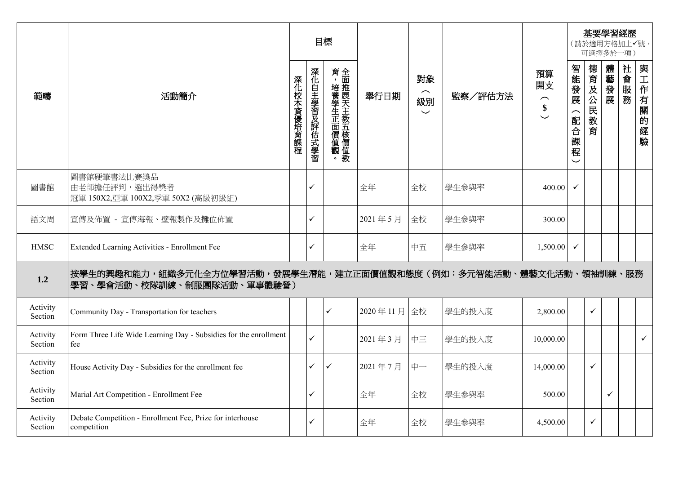|                     |                                                                                                 |            |              | 目標                       |             |                                                |         |                                             |                                       |                 | 基要學習經歷<br>〔請於適用方格加上✔號,<br>可選擇多於一項 |          |                  |
|---------------------|-------------------------------------------------------------------------------------------------|------------|--------------|--------------------------|-------------|------------------------------------------------|---------|---------------------------------------------|---------------------------------------|-----------------|-----------------------------------|----------|------------------|
| 範疇                  | 活動簡介                                                                                            | 深化校本資優培育課程 | 深化自主學習及評估式學習 | 育,培養學生正面價值觀。全面推展天主教五核價值教 | 舉行日期        | 對象<br>$\sim$<br>級別<br>$\overline{\phantom{0}}$ | 監察/評估方法 | 預算<br>開支<br>$\widehat{\phantom{1}}$<br>$\$$ | 智能發展<br>配合<br>一課<br>程<br>$\checkmark$ | 德育及公民<br>教<br>育 | 體藝發展                              | 社會服<br>務 | 與工作有<br>關的<br>經驗 |
| 圖書館                 | 圖書館硬筆書法比賽獎品<br>由老師擔任評判,選出得獎者<br>冠軍 150X2,亞軍 100X2,季軍 50X2 (高級初級組)                               |            | ✓            |                          | 全年          | 全校                                             | 學生參與率   | 400.00                                      | $\checkmark$                          |                 |                                   |          |                  |
| 語文周                 | 宣傳及佈置 - 宣傳海報、壁報製作及攤位佈置                                                                          |            | ✓            |                          | 2021年5月     | 全校                                             | 學生參與率   | 300.00                                      |                                       |                 |                                   |          |                  |
| <b>HMSC</b>         | Extended Learning Activities - Enrollment Fee                                                   |            | ✓            |                          | 全年          | 中五                                             | 學生參與率   | 1,500.00                                    | $\checkmark$                          |                 |                                   |          |                  |
| 1.2                 | 按學生的興趣和能力,組織多元化全方位學習活動,發展學生潛能,建立正面價值觀和態度(例如:多元智能活動、體藝文化活動、領袖訓練、服務<br>學習、學會活動、校隊訓練、制服團隊活動、軍事體驗營) |            |              |                          |             |                                                |         |                                             |                                       |                 |                                   |          |                  |
| Activity<br>Section | Community Day - Transportation for teachers                                                     |            |              | ✓                        | 2020年11月 全校 |                                                | 學生的投入度  | 2,800.00                                    |                                       | $\checkmark$    |                                   |          |                  |
| Activity<br>Section | Form Three Life Wide Learning Day - Subsidies for the enrollment<br>fee                         |            | ✓            |                          | 2021年3月     | 中三                                             | 學生的投入度  | 10,000.00                                   |                                       |                 |                                   |          | $\checkmark$     |
| Activity<br>Section | House Activity Day - Subsidies for the enrollment fee                                           |            | ✓            | ✓                        | 2021年7月     | 中一                                             | 學生的投入度  | 14,000.00                                   |                                       | $\checkmark$    |                                   |          |                  |
| Activity<br>Section | Marial Art Competition - Enrollment Fee                                                         |            | ✓            |                          | 全年          | 全校                                             | 學生參與率   | 500.00                                      |                                       |                 | $\checkmark$                      |          |                  |
| Activity<br>Section | Debate Competition - Enrollment Fee, Prize for interhouse<br>competition                        |            | ✓            |                          | 全年          | 全校                                             | 學生參與率   | 4,500.00                                    |                                       | $\checkmark$    |                                   |          |                  |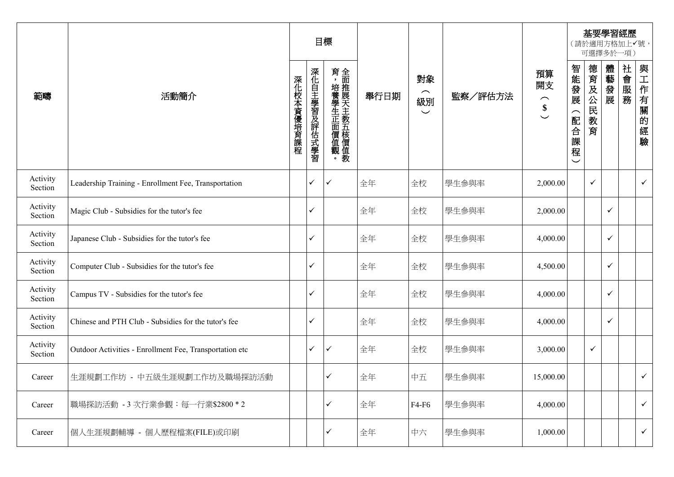|                     |                                                         |            |              | 目標           |      |                                                 |         |                                                |                                   |                 | 可選擇多於一項)     | 基要學習經歷<br>(請於適用方格加上√號, |              |
|---------------------|---------------------------------------------------------|------------|--------------|--------------|------|-------------------------------------------------|---------|------------------------------------------------|-----------------------------------|-----------------|--------------|------------------------|--------------|
| 範疇                  | 活動簡介                                                    | 深化校本資優培育課程 | 深化自主學習及評估式學習 | 育,培養學生正面價值觀。 | 舉行日期 | 對象<br>$\widehat{\phantom{m}}$<br>級別<br>$\smile$ | 監察/評估方法 | 預算<br>開支<br>$\frown$<br>$\overset{\$}{\smile}$ | 智能發展<br>(配合課<br>程<br>$\checkmark$ | 德育及公民<br>教<br>育 | 體藝發展         | 社會服務                   | 與工作有關的<br>經驗 |
| Activity<br>Section | Leadership Training - Enrollment Fee, Transportation    |            | ✓            | ✓            | 全年   | 全校                                              | 學生參與率   | 2,000.00                                       |                                   | $\checkmark$    |              |                        | $\checkmark$ |
| Activity<br>Section | Magic Club - Subsidies for the tutor's fee              |            | ✓            |              | 全年   | 全校                                              | 學生參與率   | 2,000.00                                       |                                   |                 | $\checkmark$ |                        |              |
| Activity<br>Section | Japanese Club - Subsidies for the tutor's fee           |            | ✓            |              | 全年   | 全校                                              | 學生參與率   | 4,000.00                                       |                                   |                 | $\checkmark$ |                        |              |
| Activity<br>Section | Computer Club - Subsidies for the tutor's fee           |            | ✓            |              | 全年   | 全校                                              | 學生參與率   | 4,500.00                                       |                                   |                 | $\checkmark$ |                        |              |
| Activity<br>Section | Campus TV - Subsidies for the tutor's fee               |            | ✓            |              | 全年   | 全校                                              | 學生參與率   | 4,000.00                                       |                                   |                 | $\checkmark$ |                        |              |
| Activity<br>Section | Chinese and PTH Club - Subsidies for the tutor's fee    |            | ✓            |              | 全年   | 全校                                              | 學生參與率   | 4,000.00                                       |                                   |                 | $\checkmark$ |                        |              |
| Activity<br>Section | Outdoor Activities - Enrollment Fee, Transportation etc |            | ✓            | ✓            | 全年   | 全校                                              | 學生參與率   | 3,000.00                                       |                                   | $\checkmark$    |              |                        |              |
| Career              | 生涯規劃工作坊 - 中五級生涯規劃工作坊及職場探訪活動                             |            |              | ✓            | 全年   | 中五                                              | 學生參與率   | 15,000.00                                      |                                   |                 |              |                        | $\checkmark$ |
| Career              | 職場探訪活動 - 3 次行業參觀:每一行業\$2800 * 2                         |            |              | ✓            | 全年   | F4-F6                                           | 學生參與率   | 4,000.00                                       |                                   |                 |              |                        | $\checkmark$ |
| Career              | 個人生涯規劃輔導 - 個人歷程檔案(FILE)或印刷                              |            |              | ✓            | 全年   | 中六                                              | 學生參與率   | 1,000.00                                       |                                   |                 |              |                        | $\checkmark$ |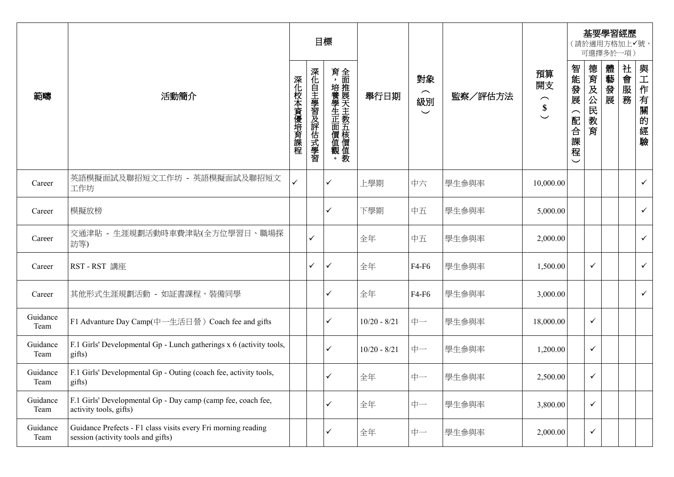|                  |                                                                                                     |            |              | 目標           |                |                                      |         |                                                               |                        |                 | 可選擇多於一項) | 基要學習經歷<br>(請於適用方格加上v號, |              |
|------------------|-----------------------------------------------------------------------------------------------------|------------|--------------|--------------|----------------|--------------------------------------|---------|---------------------------------------------------------------|------------------------|-----------------|----------|------------------------|--------------|
| 範疇               | 活動簡介                                                                                                | 深化校本資優培育課程 | 深化自主學習及評估式學習 | 育,培養學生正面價值觀。 | 舉行日期           | 對象<br>$\frown$<br>級別<br>$\checkmark$ | 監察/評估方法 | 預算<br>開支<br>$\widehat{\phantom{1}}$<br>$\overset{\$}{\smile}$ | 智能發展<br>(配合)<br>課<br>程 | 德育及公民<br>教<br>育 | 體藝發展     | 社會服務                   | 與工作有關的<br>經驗 |
| Career           | 英語模擬面試及聯招短文工作坊 - 英語模擬面試及聯招短文<br>工作坊                                                                 | ✓          |              | $\checkmark$ | 上學期            | 中六                                   | 學生參與率   | 10,000.00                                                     |                        |                 |          |                        | $\checkmark$ |
| Career           | 模擬放榜                                                                                                |            |              | ✓            | 下學期            | 中五                                   | 學生參與率   | 5,000.00                                                      |                        |                 |          |                        | $\checkmark$ |
| Career           | 交通津貼 - 生涯規劃活動時車費津貼(全方位學習日、職場探<br>訪等)                                                                |            | ✓            |              | 全年             | 中五                                   | 學生參與率   | 2,000.00                                                      |                        |                 |          |                        | $\checkmark$ |
| Career           | RST-RST 講座                                                                                          |            | ✓            | $\checkmark$ | 全年             | F4-F6                                | 學生參與率   | 1,500.00                                                      |                        | $\checkmark$    |          |                        | $\checkmark$ |
| Career           | 其他形式生涯規劃活動 - 如証書課程,裝備同學                                                                             |            |              | $\checkmark$ | 全年             | F4-F6                                | 學生參與率   | 3,000.00                                                      |                        |                 |          |                        | $\checkmark$ |
| Guidance<br>Team | F1 Advanture Day Camp(中一生活日營) Coach fee and gifts                                                   |            |              | ✓            | $10/20 - 8/21$ | 中一                                   | 學生參與率   | 18,000.00                                                     |                        | $\checkmark$    |          |                        |              |
| Guidance<br>Team | F.1 Girls' Developmental Gp - Lunch gatherings x 6 (activity tools,<br>gifts)                       |            |              | $\checkmark$ | $10/20 - 8/21$ | 中一                                   | 學生參與率   | 1,200.00                                                      |                        | $\checkmark$    |          |                        |              |
| Guidance<br>Team | F.1 Girls' Developmental Gp - Outing (coach fee, activity tools,<br>gifts)                          |            |              | ✓            | 全年             | 中一                                   | 學生參與率   | 2,500.00                                                      |                        | $\checkmark$    |          |                        |              |
| Guidance<br>Team | F.1 Girls' Developmental Gp - Day camp (camp fee, coach fee,<br>activity tools, gifts)              |            |              | $\checkmark$ | 全年             | 中一                                   | 學生參與率   | 3,800.00                                                      |                        | $\checkmark$    |          |                        |              |
| Guidance<br>Team | Guidance Prefects - F1 class visits every Fri morning reading<br>session (activity tools and gifts) |            |              | ✓            | 全年             | 中一                                   | 學生參與率   | 2,000.00                                                      |                        | $\checkmark$    |          |                        |              |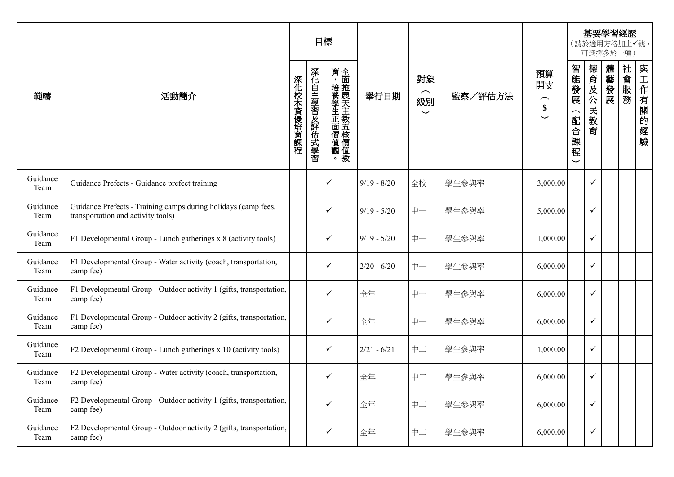|                  |                                                                                                      |            |              | 目標           |               |                                                 |         |                                                                                 |                                                                 |                 | 可選擇多於一項) | 基要學習經歷<br>(請於適用方格加上✔號, |                                |
|------------------|------------------------------------------------------------------------------------------------------|------------|--------------|--------------|---------------|-------------------------------------------------|---------|---------------------------------------------------------------------------------|-----------------------------------------------------------------|-----------------|----------|------------------------|--------------------------------|
| 範疇               | 活動簡介                                                                                                 | 深化校本資優培育課程 | 深化自主學習及評估式學習 | 育,培養學生正面價值觀。 | 舉行日期          | 對象<br>$\widehat{\phantom{m}}$<br>級別<br>$\smile$ | 監察/評估方法 | 預算<br>開支<br>$\widehat{\phantom{m}}$<br>$\boldsymbol{\$}$<br>$\overline{\smile}$ | 智能發展<br>$\widehat{\phantom{1}}$<br>配合<br>課<br>程<br>$\checkmark$ | 德育及公民<br>教<br>育 | 體藝發展     | 社會服務                   | 與<br>二 作有一<br>關<br>的<br>經<br>驗 |
| Guidance<br>Team | Guidance Prefects - Guidance prefect training                                                        |            |              | ✓            | $9/19 - 8/20$ | 全校                                              | 學生參與率   | 3,000.00                                                                        |                                                                 | $\checkmark$    |          |                        |                                |
| Guidance<br>Team | Guidance Prefects - Training camps during holidays (camp fees,<br>transportation and activity tools) |            |              | ✓            | $9/19 - 5/20$ | 中一                                              | 學生參與率   | 5,000.00                                                                        |                                                                 | $\checkmark$    |          |                        |                                |
| Guidance<br>Team | F1 Developmental Group - Lunch gatherings x 8 (activity tools)                                       |            |              | ✓            | $9/19 - 5/20$ | 中一                                              | 學生參與率   | 1,000.00                                                                        |                                                                 | $\checkmark$    |          |                        |                                |
| Guidance<br>Team | F1 Developmental Group - Water activity (coach, transportation,<br>camp fee)                         |            |              | $\checkmark$ | $2/20 - 6/20$ | 中一                                              | 學生參與率   | 6,000.00                                                                        |                                                                 | $\checkmark$    |          |                        |                                |
| Guidance<br>Team | F1 Developmental Group - Outdoor activity 1 (gifts, transportation,<br>camp fee)                     |            |              | ✓            | 全年            | 中一                                              | 學生參與率   | 6,000.00                                                                        |                                                                 | $\checkmark$    |          |                        |                                |
| Guidance<br>Team | F1 Developmental Group - Outdoor activity 2 (gifts, transportation,<br>camp fee)                     |            |              | ✓            | 全年            | 中一                                              | 學生參與率   | 6,000.00                                                                        |                                                                 | $\checkmark$    |          |                        |                                |
| Guidance<br>Team | F2 Developmental Group - Lunch gatherings x 10 (activity tools)                                      |            |              | ✓            | $2/21 - 6/21$ | 中二                                              | 學生參與率   | 1,000.00                                                                        |                                                                 | ✓               |          |                        |                                |
| Guidance<br>Team | F2 Developmental Group - Water activity (coach, transportation,<br>camp fee)                         |            |              | ✓            | 全年            | 中二                                              | 學生參與率   | 6,000.00                                                                        |                                                                 | $\checkmark$    |          |                        |                                |
| Guidance<br>Team | F2 Developmental Group - Outdoor activity 1 (gifts, transportation,<br>camp fee)                     |            |              | $\checkmark$ | 全年            | 中二                                              | 學生參與率   | 6,000.00                                                                        |                                                                 | $\checkmark$    |          |                        |                                |
| Guidance<br>Team | F2 Developmental Group - Outdoor activity 2 (gifts, transportation,<br>camp fee)                     |            |              | ✓            | 全年            | 中二                                              | 學生參與率   | 6,000.00                                                                        |                                                                 | $\checkmark$    |          |                        |                                |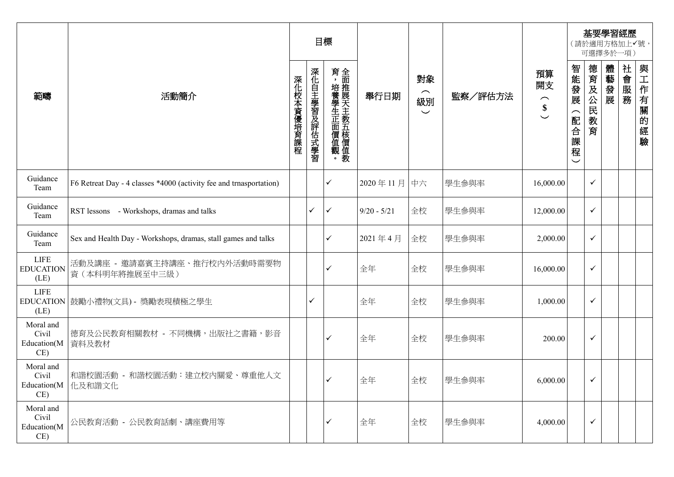|                                          |                                                                    |            |              | 目標           |               |                                                 |         |                                                       |                                                             |              | 可選擇多於一項) | 基要學習經歷<br>(請於適用方格加上√號, |              |
|------------------------------------------|--------------------------------------------------------------------|------------|--------------|--------------|---------------|-------------------------------------------------|---------|-------------------------------------------------------|-------------------------------------------------------------|--------------|----------|------------------------|--------------|
| 範疇                                       | 活動簡介                                                               | 深化校本資優培育課程 | 深化自主學習及評估式學習 | 育,培養學生正面價值觀。 | 舉行日期          | 對象<br>$\widehat{\phantom{m}}$<br>級別<br>$\smile$ | 監察/評估方法 | 預算<br>開支<br>$\hat{\mathbf{s}}$<br>$\overline{\smile}$ | 智能發展<br>$\widehat{\phantom{1}}$<br>配合課<br>程<br>$\checkmark$ | 德育及公民教育      | 體藝發展     | 社會服務                   | 與工作有關的<br>經驗 |
| Guidance<br>Team                         | F6 Retreat Day - 4 classes *4000 (activity fee and trnasportation) |            |              | $\checkmark$ | 2020年11月中六    |                                                 | 學生參與率   | 16,000.00                                             |                                                             | $\checkmark$ |          |                        |              |
| Guidance<br>Team                         | RST lessons - Workshops, dramas and talks                          |            | ✓            | ✓            | $9/20 - 5/21$ | 全校                                              | 學生參與率   | 12,000.00                                             |                                                             | $\checkmark$ |          |                        |              |
| Guidance<br>Team                         | Sex and Health Day - Workshops, dramas, stall games and talks      |            |              | $\checkmark$ | 2021年4月       | 全校                                              | 學生參與率   | 2,000.00                                              |                                                             | $\checkmark$ |          |                        |              |
| <b>LIFE</b><br><b>EDUCATION</b><br>(LE)  | 活動及講座 - 邀請嘉賓主持講座、推行校內外活動時需要物<br>資(本科明年將推展至中三級)                     |            |              | $\checkmark$ | 全年            | 全校                                              | 學生參與率   | 16,000.00                                             |                                                             | $\checkmark$ |          |                        |              |
| <b>LIFE</b><br>(LE)                      | EDUCATION 鼓勵小禮物(文具) - 獎勵表現積極之學生                                    |            | ✓            |              | 全年            | 全校                                              | 學生參與率   | 1,000.00                                              |                                                             | $\checkmark$ |          |                        |              |
| Moral and<br>Civil<br>Education(M<br>CE) | 德育及公民教育相關教材 - 不同機構,出版社之書籍,影音<br>資料及教材                              |            |              | $\checkmark$ | 全年            | 全校                                              | 學生參與率   | 200.00                                                |                                                             | ✓            |          |                        |              |
| Moral and<br>Civil<br>CE)                | 和諧校園活動 - 和諧校園活動:建立校内關愛、尊重他人文<br>Education(M   化及和諧文化               |            |              |              | 全年            | 全校                                              | 學生參與率   | 6,000.00                                              |                                                             | $\checkmark$ |          |                        |              |
| Moral and<br>Civil<br>Education(M<br>CE) | 公民教育活動 - 公民教育話劇、講座費用等                                              |            |              | $\checkmark$ | 全年            | 全校                                              | 學生參與率   | 4,000.00                                              |                                                             | ✓            |          |                        |              |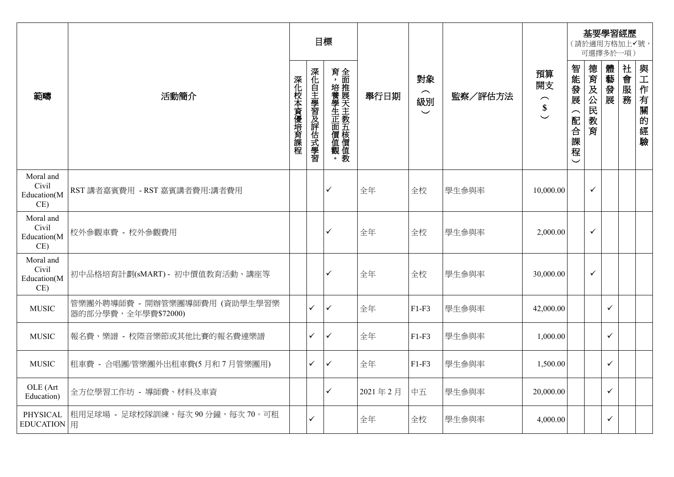|                                          |                                                      |            |              | 目標                       |         |                                  |         |                                                            |                                   |              | 可選擇多於一項)     | 基要學習經歷<br>(請於適用方格加上√號, |          |
|------------------------------------------|------------------------------------------------------|------------|--------------|--------------------------|---------|----------------------------------|---------|------------------------------------------------------------|-----------------------------------|--------------|--------------|------------------------|----------|
| 範疇                                       | 活動簡介                                                 | 深化校本資優培育課程 | 深化自主學習及評估式學習 | 育,培養學生正面價值觀。全面推展天主教五核價值教 | 舉行日期    | 對象<br>$\frown$<br>級別<br>$\smile$ | 監察/評估方法 | 預算<br>開支<br>$\hat{\mathbf{s}}$<br>$\overline{\phantom{0}}$ | 智能發展<br>(配合課<br>程<br>$\checkmark$ | 德育及公民教育      | 體藝發展         | 社會服務                   | 與工作有關的經驗 |
| Moral and<br>Civil<br>Education(M<br>CE) | RST 講者嘉賓費用 - RST 嘉賓講者費用:講者費用                         |            |              | $\checkmark$             | 全年      | 全校                               | 學生參與率   | 10,000.00                                                  |                                   | $\checkmark$ |              |                        |          |
| Moral and<br>Civil<br>Education(M<br>CE) | 校外參觀車費 - 校外參觀費用                                      |            |              | ✓                        | 全年      | 全校                               | 學生參與率   | 2,000.00                                                   |                                   | $\checkmark$ |              |                        |          |
| Moral and<br>Civil<br>Education(M<br>CE) | 初中品格培育計劃(sMART) - 初中價值教育活動、講座等                       |            |              | ✓                        | 全年      | 全校                               | 學生參與率   | 30,000.00                                                  |                                   | $\checkmark$ |              |                        |          |
| <b>MUSIC</b>                             | 管樂團外聘導師費 - 開辦管樂團導師費用 (資助學生學習樂<br>器的部分學費,全年學費\$72000) |            | $\checkmark$ | $\checkmark$             | 全年      | $F1-F3$                          | 學生參與率   | 42,000.00                                                  |                                   |              | $\checkmark$ |                        |          |
| <b>MUSIC</b>                             | 報名費、樂譜 - 校際音樂節或其他比賽的報名費連樂譜                           |            | $\checkmark$ | $\checkmark$             | 全年      | $F1-F3$                          | 學生參與率   | 1,000.00                                                   |                                   |              | $\checkmark$ |                        |          |
| <b>MUSIC</b>                             | 租車費 - 合唱團/管樂團外出租車費(5月和7月管樂團用)                        |            | $\checkmark$ | $\checkmark$             | 全年      | $F1-F3$                          | 學生參與率   | 1,500.00                                                   |                                   |              | $\checkmark$ |                        |          |
| OLE (Art<br>Education)                   | 全方位學習工作坊 - 導師費、材料及車資                                 |            |              | $\checkmark$             | 2021年2月 | 中五                               | 學生參與率   | 20,000.00                                                  |                                   |              | $\checkmark$ |                        |          |
| PHYSICAL<br>EDUCATION 用                  | 租用足球場 - 足球校隊訓練,每次90分鐘,每次70。可租                        |            | ✓            |                          | 全年      | 全校                               | 學生參與率   | 4,000.00                                                   |                                   |              | ✓            |                        |          |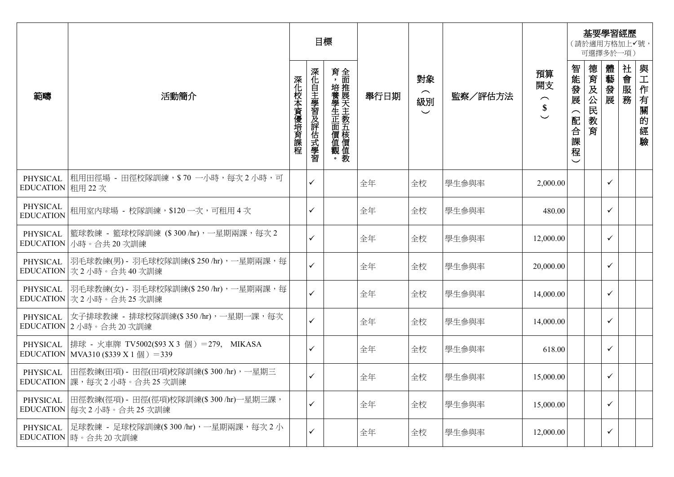|                               |                                                                                               |            | 目標           |              |      |                                                 |         |                                           |                          |                 | 可選擇多於一項)     | 基要學習經歷<br>(請於適用方格加上√號, |                      |
|-------------------------------|-----------------------------------------------------------------------------------------------|------------|--------------|--------------|------|-------------------------------------------------|---------|-------------------------------------------|--------------------------|-----------------|--------------|------------------------|----------------------|
| 範疇                            | 活動簡介                                                                                          | 深化校本資優培育課程 | 深化自主學習及評估式學習 | 育,培養學生正面價值觀。 | 舉行日期 | 對象<br>$\widehat{\phantom{m}}$<br>級別<br>$\smile$ | 監察/評估方法 | 預算<br>開支<br>$\widehat{\phantom{m}}$<br>\$ | 智能發展<br>配<br>合<br>課<br>程 | 德育及公民<br>教<br>育 | 體藝發展         | 社會服務                   | 與工作有關<br>的<br>經<br>驗 |
| PHYSICAL<br>EDUCATION 租用 22 次 | 租用田徑場 - 田徑校隊訓練,\$ 70 一小時,每次 2 小時,可                                                            |            | $\checkmark$ |              | 全年   | 全校                                              | 學生參與率   | 2,000.00                                  |                          |                 | $\checkmark$ |                        |                      |
| PHYSICAL<br><b>EDUCATION</b>  | 租用室内球場 - 校隊訓練,\$120 一次,可租用 4 次                                                                |            | ✓            |              | 全年   | 全校                                              | 學生參與率   | 480.00                                    |                          |                 | $\checkmark$ |                        |                      |
| PHYSICAL<br><b>EDUCATION</b>  | 籃球教練 - 籃球校隊訓練 (\$ 300 /hr),一星期兩課,每次 2<br>小時。合共20次訓練                                           |            | $\checkmark$ |              | 全年   | 全校                                              | 學生參與率   | 12,000.00                                 |                          |                 | $\checkmark$ |                        |                      |
| PHYSICAL                      | 羽毛球教練(男) - 羽毛球校隊訓練(\$ 250 /hr),一星期兩課,每<br>EDUCATION 次 2 小時。合共 40 次訓練                          |            | $\checkmark$ |              | 全年   | 全校                                              | 學生參與率   | 20,000.00                                 |                          |                 | $\checkmark$ |                        |                      |
| PHYSICAL                      | 羽毛球教練(女) - 羽毛球校隊訓練(\$ 250 /hr),一星期兩課,每<br>EDUCATION 次 2 小時。合共 25 次訓練                          |            | $\checkmark$ |              | 全年   | 全校                                              | 學生參與率   | 14,000.00                                 |                          |                 | $\checkmark$ |                        |                      |
| PHYSICAL                      | 女子排球教練 - 排球校隊訓練(\$ 350 /hr),一星期一課,每次<br>EDUCATION 2 小時。合共 20 次訓練                              |            | $\checkmark$ |              | 全年   | 全校                                              | 學生參與率   | 14,000.00                                 |                          |                 | $\checkmark$ |                        |                      |
| PHYSICAL                      | 排球 - 火車牌 TV5002(\$93 X 3 個) =279, MIKASA<br>EDUCATION   MVA310 (\$339 X 1 $\boxed{m}$ ) = 339 |            | $\checkmark$ |              | 全年   | 全校                                              | 學生參與率   | 618.00                                    |                          |                 | $\checkmark$ |                        |                      |
|                               | PHYSICAL 旧徑教練(田項) - 田徑(田項)校隊訓練(\$300 /hr),一星期三<br>EDUCATION 課,每次2小時。合共25次訓練                   |            | $\checkmark$ |              | 全年   | 全校                                              | 學生參與率   | 15,000.00                                 |                          |                 | $\checkmark$ |                        |                      |
| PHYSICAL                      | 田徑教練(徑項) - 田徑(徑項)校隊訓練(\$ 300 /hr)一星期三課,<br>EDUCATION   每次2小時。合共25次訓練                          |            | $\checkmark$ |              | 全年   | 全校                                              | 學生參與率   | 15,000.00                                 |                          |                 | $\checkmark$ |                        |                      |
| PHYSICAL                      | 足球教練 - 足球校隊訓練(\$ 300 /hr),一星期兩課,每次 2 小<br>EDUCATION 時。合共20次訓練                                 |            | $\checkmark$ |              | 全年   | 全校                                              | 學生參與率   | 12,000.00                                 |                          |                 | $\checkmark$ |                        |                      |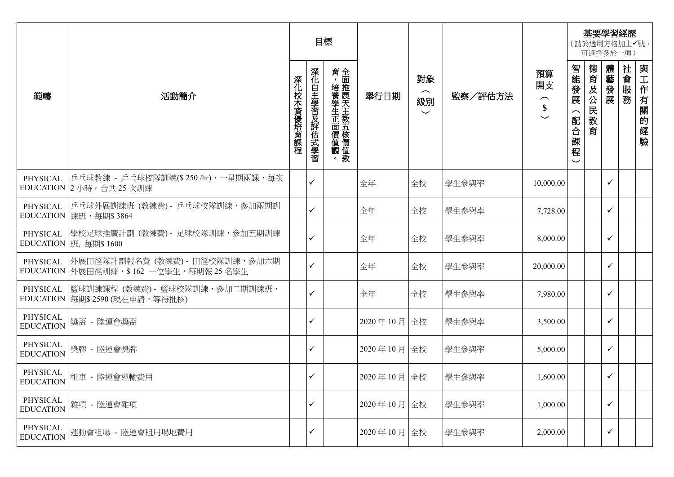|                              |                                                                              |            | 目標           |                          |             |                                  |         |                                                           |                                     |             | 可選擇多於一項)     | 基要學習經歷<br>(請於適用方格加上√號, |                  |
|------------------------------|------------------------------------------------------------------------------|------------|--------------|--------------------------|-------------|----------------------------------|---------|-----------------------------------------------------------|-------------------------------------|-------------|--------------|------------------------|------------------|
| 範疇                           | 活動簡介                                                                         | 深化校本資優培育課程 | 深化自主學習及評估式學習 | 育,培養學生正面價值觀。全面推展天主教五核價值教 | 舉行日期        | 對象<br>$\frown$<br>級別<br>$\smile$ | 監察/評估方法 | 預算<br>開支<br>$\widehat{\phantom{m}}$<br>\$<br>$\checkmark$ | 智能發展<br>配合<br>課<br>程<br>$\check{ }$ | 德育及公民<br>教育 | 體藝發展         | 社會服務                   | 與工作有關的<br>經<br>驗 |
| PHYSICAL                     | 乒乓球教練 - 乒乓球校隊訓練(\$250/hr),一星期兩課,每次<br>EDUCATION 2 小時。合共 25 次訓練               |            | $\checkmark$ |                          | 全年          | 全校                               | 學生參與率   | 10,000.00                                                 |                                     |             | ✓            |                        |                  |
| PHYSICAL                     | 乒乓球外展訓練班 (教練費) - 乒乓球校隊訓練,參加兩期訓<br>EDUCATION   練班, 每期\$3864                   |            | ✓            |                          | 全年          | 全校                               | 學生參與率   | 7,728.00                                                  |                                     |             | ✓            |                        |                  |
| PHYSICAL                     | 學校足球推廣計劃 (教練費) - 足球校隊訓練, 參加五期訓練<br>EDUCATION   班, 每期\$ 1600                  |            | $\checkmark$ |                          | 全年          | 全校                               | 學生參與率   | 8,000.00                                                  |                                     |             | ✓            |                        |                  |
| PHYSICAL                     | 外展田徑隊計劃報名費 (教練費) - 田徑校隊訓練,參加六期<br>EDUCATION   外展田徑訓練, \$162 一位學生, 每期報 25 名學生 |            | $\checkmark$ |                          | 全年          | 全校                               | 學生參與率   | 20,000.00                                                 |                                     |             | ✓            |                        |                  |
| PHYSICAL                     | 籃球訓練課程 (教練費) - 籃球校隊訓練, 參加二期訓練班,<br>EDUCATION   每期\$ 2590 (現在申請, 等待批核)        |            | $\checkmark$ |                          | 全年          | 全校                               | 學生參與率   | 7,980.00                                                  |                                     |             | ✓            |                        |                  |
| PHYSICAL<br><b>EDUCATION</b> | 獎盃 - 陸運會獎盃                                                                   |            | ✓            |                          | 2020年10月 全校 |                                  | 學生參與率   | 3,500.00                                                  |                                     |             | ✓            |                        |                  |
| PHYSICAL<br><b>EDUCATION</b> | 獎牌 - 陸運會獎牌                                                                   |            | $\checkmark$ |                          | 2020年10月 全校 |                                  | 學生參與率   | 5,000.00                                                  |                                     |             | ✓            |                        |                  |
|                              | 51CAL  租車 - 陸運會運輸費用                                                          |            | $\checkmark$ |                          | 2020年10月 全校 |                                  | 學生參與率   | 1,600.00                                                  |                                     |             | $\checkmark$ |                        |                  |
| PHYSICAL<br><b>EDUCATION</b> | 雜項 - 陸運會雜項                                                                   |            | ✓            |                          | 2020年10月全校  |                                  | 學生參與率   | 1,000.00                                                  |                                     |             | ✓            |                        |                  |
| PHYSICAL<br><b>EDUCATION</b> | 運動會租場 - 陸運會租用場地費用                                                            |            |              |                          | 2020年10月全校  |                                  | 學生參與率   | 2,000.00                                                  |                                     |             | ✓            |                        |                  |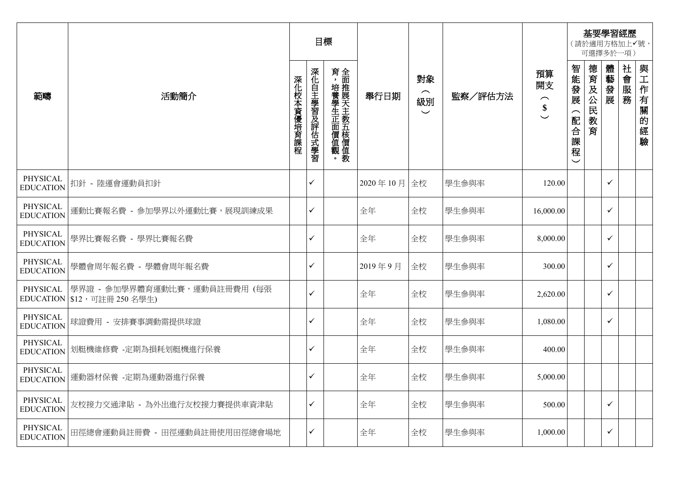|                              |                                                                | 目標         |              |                          |            |                                                 |         | 基要學習經歷<br>(請於適用方格加上√號,<br>可選擇多於一項)        |                                 |                 |              |      |              |
|------------------------------|----------------------------------------------------------------|------------|--------------|--------------------------|------------|-------------------------------------------------|---------|-------------------------------------------|---------------------------------|-----------------|--------------|------|--------------|
| 範疇                           | 活動簡介                                                           | 深化校本資優培育課程 | 深化自主學習及評估式學習 | 育,培養學生正面價值觀。全面推展天主教五核價值教 | 舉行日期       | 對象<br>$\widehat{\phantom{m}}$<br>級別<br>$\smile$ | 監察/評估方法 | 預算<br>開支<br>$\widehat{\phantom{m}}$<br>\$ | 智能發展<br>配合課<br>程<br>$\check{ }$ | 德育及公民<br>教<br>育 | 體藝發展         | 社會服務 | 與工作有關的<br>經驗 |
| PHYSICAL<br><b>EDUCATION</b> | 扣針 - 陸運會運動員扣針                                                  |            | ✓            |                          | 2020年10月全校 |                                                 | 學生參與率   | 120.00                                    |                                 |                 | ✓            |      |              |
| PHYSICAL<br><b>EDUCATION</b> | 運動比賽報名費 - 參加學界以外運動比賽,展現訓練成果                                    |            | ✓            |                          | 全年         | 全校                                              | 學生參與率   | 16,000.00                                 |                                 |                 | ✓            |      |              |
| PHYSICAL<br><b>EDUCATION</b> | 學界比賽報名費 - 學界比賽報名費                                              |            | ✓            |                          | 全年         | 全校                                              | 學生參與率   | 8,000.00                                  |                                 |                 | $\checkmark$ |      |              |
| PHYSICAL<br><b>EDUCATION</b> | 學體會周年報名費 - 學體會周年報名費                                            |            | ✓            |                          | 2019年9月    | 全校                                              | 學生參與率   | 300.00                                    |                                 |                 | $\checkmark$ |      |              |
| PHYSICAL                     | 學界證 - 參加學界體育運動比賽,運動員註冊費用 (每張<br>EDUCATION   \$12, 可註冊 250 名學生) |            | ✓            |                          | 全年         | 全校                                              | 學生參與率   | 2,620.00                                  |                                 |                 | $\checkmark$ |      |              |
| PHYSICAL<br><b>EDUCATION</b> | 球證費用 - 安排賽事調動需提供球證                                             |            | ✓            |                          | 全年         | 全校                                              | 學生參與率   | 1,080.00                                  |                                 |                 | $\checkmark$ |      |              |
| PHYSICAL<br><b>EDUCATION</b> | 划艇機維修費 - 定期為損耗划艇機進行保養                                          |            | ✓            |                          | 全年         | 全校                                              | 學生參與率   | 400.00                                    |                                 |                 |              |      |              |
| PHYSICAL                     | EDUCATION 運動器材保養 - 定期為運動器進行保養                                  |            | ✓            |                          | 全年         | 全校                                              | 學生參與率   | 5,000.00                                  |                                 |                 |              |      |              |
| PHYSICAL<br><b>EDUCATION</b> | 友校接力交通津貼 - 為外出進行友校接力賽提供車資津貼                                    |            | ✓            |                          | 全年         | 全校                                              | 學生參與率   | 500.00                                    |                                 |                 | ✓            |      |              |
| PHYSICAL<br><b>EDUCATION</b> | 田徑總會運動員註冊費 - 田徑運動員註冊使用田徑總會場地                                   |            | ✓            |                          | 全年         | 全校                                              | 學生參與率   | 1,000.00                                  |                                 |                 | $\checkmark$ |      |              |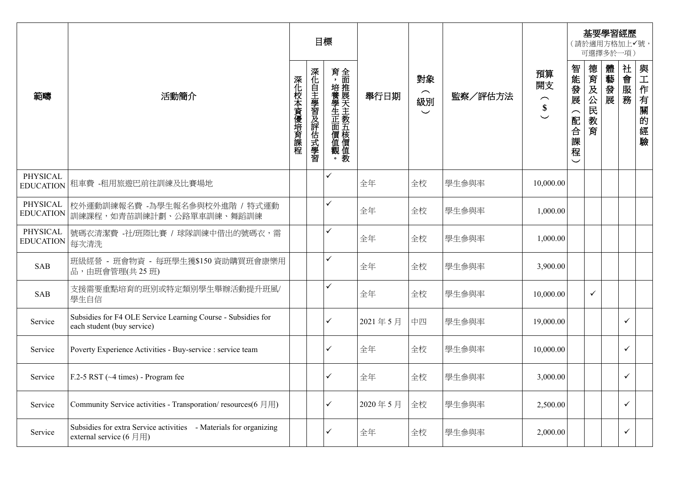|                              |                                                                                                                          | 目標         |              |              |         |                                                 |         | 基要學習經歷<br>(請於適用方格加上√號,<br>可選擇多於一項)        |                                   |              |      |      |                  |
|------------------------------|--------------------------------------------------------------------------------------------------------------------------|------------|--------------|--------------|---------|-------------------------------------------------|---------|-------------------------------------------|-----------------------------------|--------------|------|------|------------------|
| 範疇                           | 活動簡介                                                                                                                     | 深化校本資優培育課程 | 深化自主學習及評估式學習 | 育,培養學生正面價值觀。 | 舉行日期    | 對象<br>$\widehat{\phantom{m}}$<br>級別<br>$\smile$ | 監察/評估方法 | 預算<br>開支<br>$\widehat{\phantom{a}}$<br>\$ | 智能發展<br>(配合課<br>程<br>$\checkmark$ | 德育及公民教育      | 體藝發展 | 社會服務 | 與工作有關<br>的<br>經驗 |
| PHYSICAL<br><b>EDUCATION</b> | 租車費 -租用旅遊巴前往訓練及比賽場地                                                                                                      |            |              | ✓            | 全年      | 全校                                              | 學生參與率   | 10,000.00                                 |                                   |              |      |      |                  |
| PHYSICAL                     | 校外運動訓練報名費 -為學生報名參與校外進階 / 特式運動<br>EDUCATION  訓練課程,如青苗訓練計劃、公路單車訓練、舞蹈訓練                                                     |            |              | $\checkmark$ | 全年      | 全校                                              | 學生參與率   | 1,000.00                                  |                                   |              |      |      |                  |
| PHYSICAL<br><b>EDUCATION</b> | 號碼衣清潔費 -社/班際比賽 / 球隊訓練中借出的號碼衣,需<br>每次清洗                                                                                   |            |              | $\checkmark$ | 全年      | 全校                                              | 學生參與率   | 1,000.00                                  |                                   |              |      |      |                  |
| <b>SAB</b>                   | 班級經營 - 班會物資 - 每班學生獲\$150 資助購買班會康樂用<br>品,由班會管理(共25班)                                                                      |            |              | $\checkmark$ | 全年      | 全校                                              | 學生參與率   | 3,900.00                                  |                                   |              |      |      |                  |
| <b>SAB</b>                   | 支援需要重點培育的班別或特定類別學生舉辦活動提升班風/<br>學生自信                                                                                      |            |              | ✓            | 全年      | 全校                                              | 學生參與率   | 10,000.00                                 |                                   | $\checkmark$ |      |      |                  |
| Service                      | Subsidies for F4 OLE Service Learning Course - Subsidies for<br>each student (buy service)                               |            |              | $\checkmark$ | 2021年5月 | 中四                                              | 學生參與率   | 19,000.00                                 |                                   |              |      | ✓    |                  |
| Service                      | Poverty Experience Activities - Buy-service : service team                                                               |            |              | $\checkmark$ | 全年      | 全校                                              | 學生參與率   | 10,000.00                                 |                                   |              |      | ✓    |                  |
| Service                      | $F.2-5 RST$ ( $\sim$ 4 times) - Program fee                                                                              |            |              | $\checkmark$ | 全年      | 全校                                              | 學生參與率   | 3,000.00                                  |                                   |              |      | ✓    |                  |
| Service                      | Community Service activities - Transporation/resources(6月用)                                                              |            |              | $\checkmark$ | 2020年5月 | 全校                                              | 學生參與率   | 2,500.00                                  |                                   |              |      | ✓    |                  |
| Service                      | Subsidies for extra Service activities - Materials for organizing<br>external service $(6 \text{ }\overline{H} \text{)}$ |            |              | ✓            | 全年      | 全校                                              | 學生參與率   | 2,000.00                                  |                                   |              |      | ✓    |                  |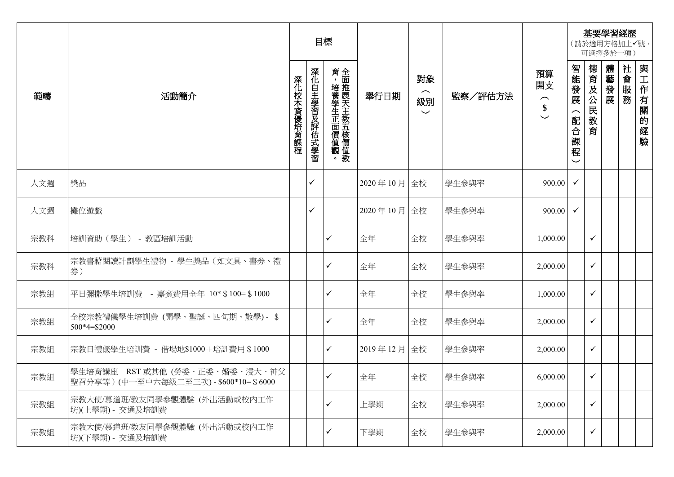|     |                                                                          |            |              | 目標                       |             |                                  |         |                                           | 基要學習經歷<br>(請於適用方格加上√號,<br>可選擇多於一項)                          |              |      |      |          |  |
|-----|--------------------------------------------------------------------------|------------|--------------|--------------------------|-------------|----------------------------------|---------|-------------------------------------------|-------------------------------------------------------------|--------------|------|------|----------|--|
| 範疇  | 活動簡介                                                                     | 深化校本資優培育課程 | 深化自主學習及評估式學習 | 育,培養學生正面價值觀。全面推展天主教五核價值教 | 舉行日期        | 對象<br>$\frown$<br>級別<br>$\smile$ | 監察/評估方法 | 預算<br>開支<br>$\widehat{\phantom{1}}$<br>\$ | 智能發展<br>$\widehat{\phantom{1}}$<br>配合課<br>程<br>$\checkmark$ | 德育及公民教<br>育  | 體藝發展 | 社會服務 | 與工作有關的經驗 |  |
| 人文週 | 獎品                                                                       |            | ✓            |                          | 2020年10月 全校 |                                  | 學生參與率   | 900.00                                    | $\checkmark$                                                |              |      |      |          |  |
| 人文週 | 攤位遊戲                                                                     |            | ✓            |                          | 2020年10月 全校 |                                  | 學生參與率   | 900.00                                    | $\checkmark$                                                |              |      |      |          |  |
| 宗教科 | 培訓資助 (學生) - 教區培訓活動                                                       |            |              | ✓                        | 全年          | 全校                               | 學生參與率   | 1,000.00                                  |                                                             | ✓            |      |      |          |  |
| 宗教科 | 宗教書藉閱讀計劃學生禮物 - 學生獎品 (如文具、書券、禮<br>券)                                      |            |              | ✓                        | 全年          | 全校                               | 學生參與率   | 2,000.00                                  |                                                             | ✓            |      |      |          |  |
| 宗教組 | 平日彌撒學生培訓費 - 嘉賓費用全年 10* \$100= \$1000                                     |            |              | ✓                        | 全年          | 全校                               | 學生參與率   | 1,000.00                                  |                                                             | ✓            |      |      |          |  |
| 宗教組 | 全校宗教禮儀學生培訓費 (開學、聖誕、四旬期、散學) - \$<br>500*4=\$2000                          |            |              | ✓                        | 全年          | 全校                               | 學生參與率   | 2,000.00                                  |                                                             | ✓            |      |      |          |  |
| 宗教組 | 宗教日禮儀學生培訓費 - 借場地\$1000+培訓費用 \$1000                                       |            |              | ✓                        | 2019年12月    | 全校                               | 學生參與率   | 2,000.00                                  |                                                             | ✓            |      |      |          |  |
| 宗教組 | 學生培育講座 RST 或其他 (勞委、正委、婚委、浸大、神父<br>聖召分享等)(中一至中六每級二至三次) - \$600*10= \$6000 |            |              | ✓                        | 全年          | 全校                               | 學生參與率   | 6,000.00                                  |                                                             | ✓            |      |      |          |  |
| 宗教組 | 宗教大使/慕道班/教友同學參觀體驗 (外出活動或校內工作<br>坊)(上學期) - 交通及培訓費                         |            |              | ✓                        | 上學期         | 全校                               | 學生參與率   | 2,000.00                                  |                                                             | $\checkmark$ |      |      |          |  |
| 宗教組 | 宗教大使/慕道班/教友同學參觀體驗 (外出活動或校內工作<br>坊)(下學期) - 交通及培訓費                         |            |              | ✓                        | 下學期         | 全校                               | 學生參與率   | 2,000.00                                  |                                                             | ✓            |      |      |          |  |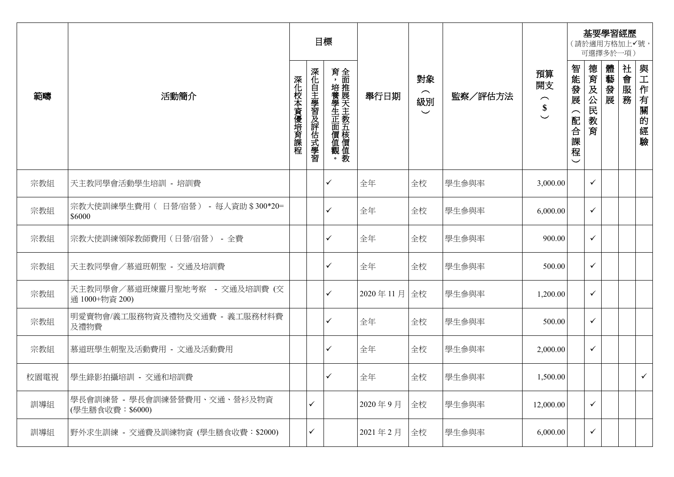|      |                                                 | 目標         |              |                          |          |                                                 |         | 基要學習經歷<br>(請於適用方格加上√號,<br>可選擇多於一項)        |                                                            |                 |      |      |              |
|------|-------------------------------------------------|------------|--------------|--------------------------|----------|-------------------------------------------------|---------|-------------------------------------------|------------------------------------------------------------|-----------------|------|------|--------------|
| 範疇   | 活動簡介                                            | 深化校本資優培育課程 | 深化自主學習及評估式學習 | 育,培養學生正面價值觀。全面推展天主教五核價值教 | 舉行日期     | 對象<br>$\widehat{\phantom{m}}$<br>級別<br>$\smile$ | 監察/評估方法 | 預算<br>開支<br>$\widehat{\phantom{m}}$<br>\$ | 智能發展<br>$\widehat{\phantom{1}}$<br>配合課<br>程<br>$\check{ }$ | 德育及公民<br>教<br>育 | 體藝發展 | 社會服務 | 與工作有關的經驗     |
| 宗教組  | 天主教同學會活動學生培訓 - 培訓費                              |            |              | ✓                        | 全年       | 全校                                              | 學生參與率   | 3,000.00                                  |                                                            | $\checkmark$    |      |      |              |
| 宗教組  | 宗教大使訓練學生費用 ( 日營/宿營) - 每人資助 \$300*20=<br>\$6000  |            |              | ✓                        | 全年       | 全校                                              | 學生參與率   | 6,000.00                                  |                                                            | $\checkmark$    |      |      |              |
| 宗教組  | 宗教大使訓練領隊教師費用(日營/宿營) - 全費                        |            |              | ✓                        | 全年       | 全校                                              | 學生參與率   | 900.00                                    |                                                            | $\checkmark$    |      |      |              |
| 宗教組  | 天主教同學會/慕道班朝聖 - 交通及培訓費                           |            |              | ✓                        | 全年       | 全校                                              | 學生參與率   | 500.00                                    |                                                            | $\checkmark$    |      |      |              |
| 宗教組  | 天主教同學會/慕道班煉靈月聖地考察 - 交通及培訓費 (交<br>通 1000+物資 200) |            |              | ✓                        | 2020年11月 | 全校                                              | 學生參與率   | 1,200.00                                  |                                                            | $\checkmark$    |      |      |              |
| 宗教組  | 明愛賣物會/義工服務物資及禮物及交通費 - 義工服務材料費<br>及禮物費           |            |              | ✓                        | 全年       | 全校                                              | 學生參與率   | 500.00                                    |                                                            | $\checkmark$    |      |      |              |
| 宗教組  | 慕道班學生朝聖及活動費用 - 文通及活動費用                          |            |              | ✓                        | 全年       | 全校                                              | 學生參與率   | 2,000.00                                  |                                                            | $\checkmark$    |      |      |              |
| 校園電視 | 學生錄影拍攝培訓 - 交通和培訓費                               |            |              | ✓                        | 全年       | 全校                                              | 學生參與率   | 1,500.00                                  |                                                            |                 |      |      | $\checkmark$ |
| 訓導組  | 學長會訓練營 - 學長會訓練營營費用、交通、營衫及物資<br>(學生膳食收費: \$6000) |            | ✓            |                          | 2020年9月  | 全校                                              | 學生參與率   | 12,000.00                                 |                                                            | $\checkmark$    |      |      |              |
| 訓導組  | 野外求生訓練 - 交通費及訓練物資 (學生膳食收費:\$2000)               |            | ✓            |                          | 2021年2月  | 全校                                              | 學生參與率   | 6,000.00                                  |                                                            | $\checkmark$    |      |      |              |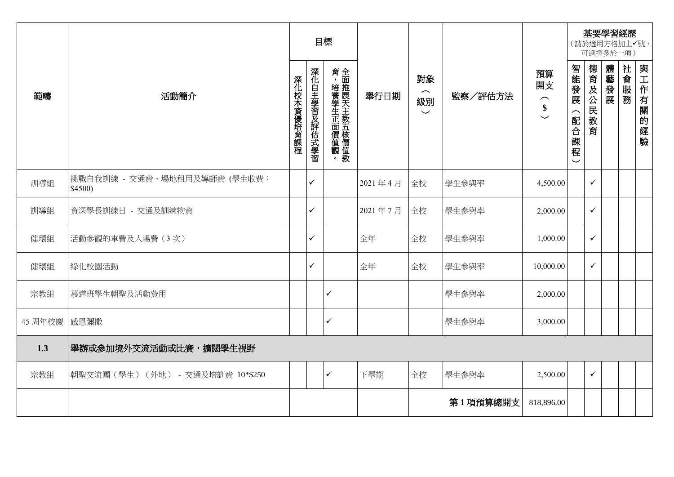|         | 目標                                     |            |              |                          |         |                                  | 基要學習經歷<br>(請於適用方格加上√號,<br>可選擇多於一項) |                                           |                               |              |      |      |          |
|---------|----------------------------------------|------------|--------------|--------------------------|---------|----------------------------------|------------------------------------|-------------------------------------------|-------------------------------|--------------|------|------|----------|
| 範疇      | 活動簡介                                   | 深化校本資優培育課程 | 深化自主學習及評估式學習 | 育,培養學生正面價值觀。全面推展天主教五核價值教 | 舉行日期    | 對象<br>$\frown$<br>級別<br>$\smile$ | 監察/評估方法                            | 預算<br>開支<br>$\widehat{\phantom{m}}$<br>\$ | 智能發展<br>(配合課程<br>$\checkmark$ | 德育及公民教<br>育  | 體藝發展 | 社會服務 | 與工作有關的經驗 |
| 訓導組     | 挑戰自我訓練 - 交通費、場地租用及導師費(學生收費:<br>\$4500) |            | $\checkmark$ |                          | 2021年4月 | 全校                               | 學生參與率                              | 4,500.00                                  |                               | $\checkmark$ |      |      |          |
| 訓導組     | 資深學長訓練日 - 交通及訓練物資                      |            | ✓            |                          | 2021年7月 | 全校                               | 學生參與率                              | 2,000.00                                  |                               | $\checkmark$ |      |      |          |
| 健環組     | 活動參觀的車費及入場費(3次)                        |            | ✓            |                          | 全年      | 全校                               | 學生參與率                              | 1,000.00                                  |                               | $\checkmark$ |      |      |          |
| 健環組     | 綠化校園活動                                 |            | ✓            |                          | 全年      | 全校                               | 學生參與率                              | 10,000.00                                 |                               | $\checkmark$ |      |      |          |
| 宗教組     | 慕道班學生朝聖及活動費用                           |            |              | $\checkmark$             |         |                                  | 學生參與率                              | 2,000.00                                  |                               |              |      |      |          |
| 45 周年校慶 | 感恩彌撒                                   |            |              | $\checkmark$             |         |                                  | 學生參與率                              | 3,000.00                                  |                               |              |      |      |          |
| 1.3     | 舉辦或參加境外交流活動或比賽,擴闊學生視野                  |            |              |                          |         |                                  |                                    |                                           |                               |              |      |      |          |
| 宗教組     | 朝聖交流團(學生) (外地) - 交通及培訓費 10*\$250       |            |              | $\checkmark$             | 下學期     | 全校                               | 學生參與率                              | 2,500.00                                  |                               | $\checkmark$ |      |      |          |
|         |                                        |            |              |                          |         |                                  | 第1項預算總開支                           | 818,896.00                                |                               |              |      |      |          |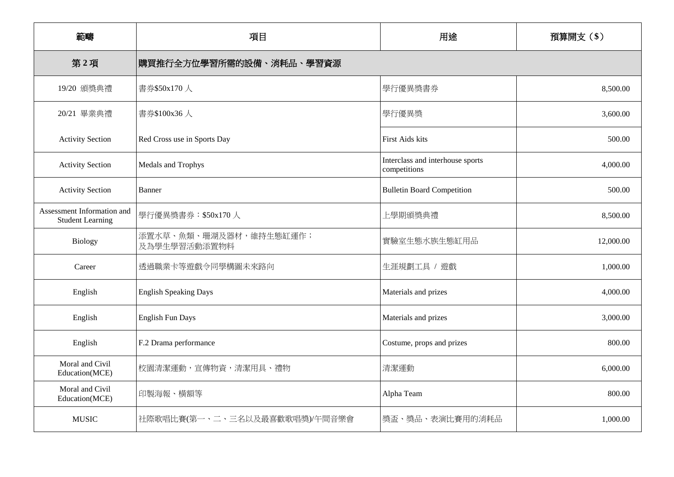| 範疇                                                    | 項目                                                    | 用途                                               | 預算開支(\$)  |  |  |  |  |
|-------------------------------------------------------|-------------------------------------------------------|--------------------------------------------------|-----------|--|--|--|--|
| 第2項                                                   | 購買推行全方位學習所需的設備、消耗品、學習資源                               |                                                  |           |  |  |  |  |
| 19/20 頒獎典禮                                            | 書券\$50x170人                                           | 學行優異獎書券                                          | 8,500.00  |  |  |  |  |
| 20/21 畢業典禮                                            | 書券\$100x36人                                           | 學行優異獎                                            | 3,600.00  |  |  |  |  |
| <b>Activity Section</b>                               | Red Cross use in Sports Day<br><b>First Aids kits</b> |                                                  | 500.00    |  |  |  |  |
| <b>Activity Section</b><br>Medals and Trophys         |                                                       | Interclass and interhouse sports<br>competitions | 4,000.00  |  |  |  |  |
| <b>Activity Section</b>                               | Banner                                                | <b>Bulletin Board Competition</b>                | 500.00    |  |  |  |  |
| Assessment Information and<br><b>Student Learning</b> | 學行優異獎書券: \$50x170人                                    | 上學期頒獎典禮                                          | 8,500.00  |  |  |  |  |
| Biology                                               | 添置水草、魚類、珊湖及器材,維持生態缸運作;<br>及為學生學習活動添置物料                | 實驗室生態水族生態缸用品                                     | 12,000.00 |  |  |  |  |
| Career                                                | 透過職業卡等遊戲令同學構圖未來路向                                     | 生涯規劃工具 / 遊戲                                      | 1,000.00  |  |  |  |  |
| English                                               | <b>English Speaking Days</b>                          | Materials and prizes                             | 4,000.00  |  |  |  |  |
| English                                               | <b>English Fun Days</b>                               | Materials and prizes                             | 3,000.00  |  |  |  |  |
| English                                               | F.2 Drama performance                                 | Costume, props and prizes                        | 800.00    |  |  |  |  |
| Moral and Civil<br>Education(MCE)                     | 校園清潔運動,宣傳物資,清潔用具、禮物                                   | 清潔運動                                             | 6,000.00  |  |  |  |  |
| Moral and Civil<br>Education(MCE)                     | 印製海報、橫額等                                              | Alpha Team                                       | 800.00    |  |  |  |  |
| <b>MUSIC</b>                                          | 社際歌唱比賽(第一、二、三名以及最喜歡歌唱獎)/午間音樂會                         | 獎盃、獎品、表演比賽用的消耗品                                  | 1,000.00  |  |  |  |  |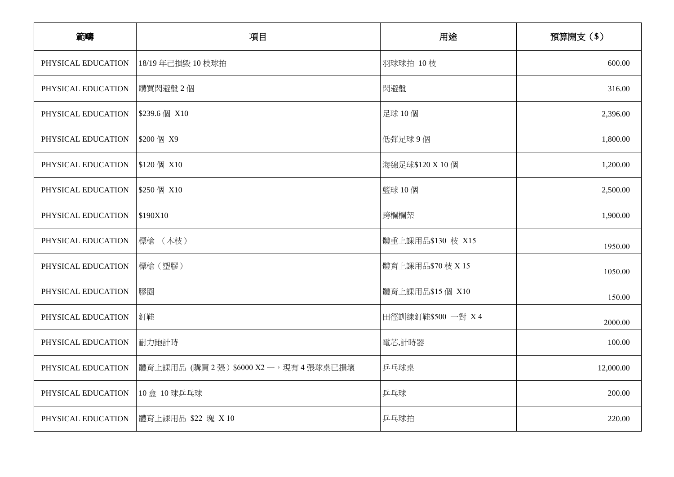| 範疇                 | 項目                                  | 用途                | 預算開支(\$)  |
|--------------------|-------------------------------------|-------------------|-----------|
| PHYSICAL EDUCATION | 18/19年己損毀 10 枝球拍                    | 羽球球拍 10枝          | 600.00    |
| PHYSICAL EDUCATION | 購買閃避盤2個                             | 閃避盤               | 316.00    |
| PHYSICAL EDUCATION | \$239.6 個 X10                       | 足球 10個            | 2,396.00  |
| PHYSICAL EDUCATION | \$200 個 X9                          | 低彈足球9個            | 1,800.00  |
| PHYSICAL EDUCATION | \$120 個 X10                         | 海綿足球\$120 X 10 個  | 1,200.00  |
| PHYSICAL EDUCATION | \$250 個 X10                         | 籃球 10個            | 2,500.00  |
| PHYSICAL EDUCATION | \$190X10                            | 跨欄欄架              | 1,900.00  |
| PHYSICAL EDUCATION | 標槍 (木枝)                             | 體重上課用品\$130 枝 X15 | 1950.00   |
| PHYSICAL EDUCATION | 標槍 (塑膠)                             | 體育上課用品\$70 枝 X 15 | 1050.00   |
| PHYSICAL EDUCATION | 膠圈                                  | 體育上課用品\$15個 X10   | 150.00    |
| PHYSICAL EDUCATION | 釘鞋                                  | 田徑訓練釘鞋\$500 一對 X4 | 2000.00   |
| PHYSICAL EDUCATION | 耐力跑計時                               | 電芯,計時器            | 100.00    |
| PHYSICAL EDUCATION | 體育上課用品 (購買2張) \$6000 X2 一,現有4張球桌已損壞 | 乒乓球桌              | 12,000.00 |
| PHYSICAL EDUCATION | 10盒 10 球乒乓球                         | 乒乓球               | 200.00    |
| PHYSICAL EDUCATION | 體育上課用品 \$22 塊 X 10                  | 乒乓球拍              | 220.00    |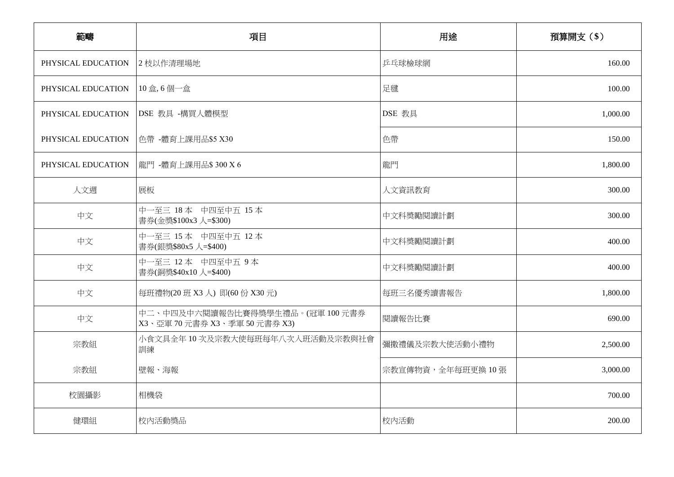| 範疇                 | 項目                                                            | 用途               | 預算開支 (\$) |
|--------------------|---------------------------------------------------------------|------------------|-----------|
| PHYSICAL EDUCATION | 2 枝以作清理場地                                                     | 乒乓球檢球網           | 160.00    |
| PHYSICAL EDUCATION | 10盒,6個一盒                                                      | 足毽               | 100.00    |
| PHYSICAL EDUCATION | DSE 教具 -構買人體模型                                                | DSE 教具           | 1,000.00  |
| PHYSICAL EDUCATION | 色帶 -體育上課用品\$5 X30                                             | 色帶               | 150.00    |
| PHYSICAL EDUCATION | 龍門 -體育上課用品\$300 X 6                                           | 龍門               | 1,800.00  |
| 人文週                | 展板                                                            | 人文資訊教育           | 300.00    |
| 中文                 | 中一至三 18本 中四至中五 15本<br>書券(金獎\$100x3 人=\$300)                   | 中文科獎勵閱讀計劃        | 300.00    |
| 中文                 | 中一至三 15本 中四至中五 12本<br>書券(銀獎\$80x5 人=\$400)                    | 中文科獎勵閱讀計劃        | 400.00    |
| 中文                 | 中一至三 12本 中四至中五 9本<br>書券(銅獎\$40x10 人=\$400)                    | 中文科獎勵閱讀計劃        | 400.00    |
| 中文                 | 每班禮物(20 班 X3 人) 即(60 份 X30 元)                                 | 每班三名優秀讀書報告       | 1,800.00  |
| 中文                 | 中二、中四及中六閱讀報告比賽得獎學生禮品。(冠軍100元書券<br>X3、亞軍 70元書券 X3、季軍 50元書券 X3) | 閱讀報告比賽           | 690.00    |
| 宗教組                | 小食文具全年10次及宗教大使每班每年八次入班活動及宗教與社會<br>訓練                          | 彌撒禮儀及宗教大使活動小禮物   | 2,500.00  |
| 宗教組                | 壁報、海報                                                         | 宗教宣傳物資,全年每班更換10張 | 3,000.00  |
| 校園攝影               | 相機袋                                                           |                  | 700.00    |
| 健環組                | 校内活動獎品                                                        | 校內活動             | 200.00    |